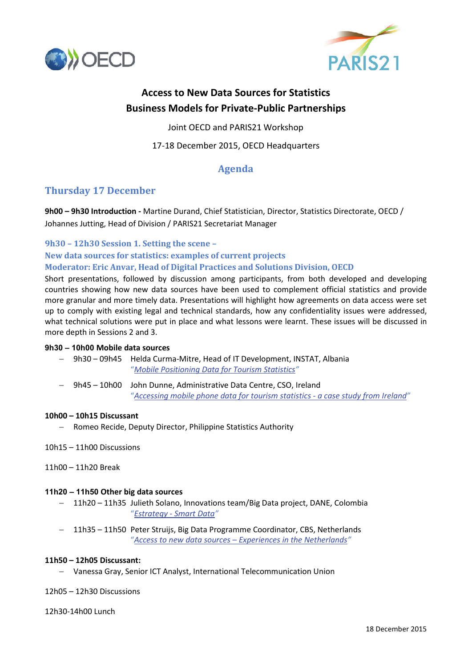



# **Access to New Data Sources for Statistics Business Models for Private-Public Partnerships**

Joint OECD and PARIS21 Workshop

17-18 December 2015, OECD Headquarters

# **Agenda**

# **Thursday 17 December**

**9h00 – 9h30 Introduction -** Martine Durand, Chief Statistician, Director, Statistics Directorate, OECD / Johannes Jutting, Head of Division / PARIS21 Secretariat Manager

**9h30 – 12h30 Session 1. Setting the scene –**

**New data sources for statistics: examples of current projects Moderator: Eric Anvar, Head of Digital Practices and Solutions Division, OECD**

Short presentations, followed by discussion among participants, from both developed and developing countries showing how new data sources have been used to complement official statistics and provide more granular and more timely data. Presentations will highlight how agreements on data access were set up to comply with existing legal and technical standards, how any confidentiality issues were addressed, what technical solutions were put in place and what lessons were learnt. These issues will be discussed in more depth in Sessions 2 and 3.

# **9h30 – 10h00 Mobile data sources**

- − 9h30 09h45 Helda Curma-Mitre, Head of IT Development, INSTAT, Albania "*[Mobile Positioning Data for Tourism Statistics"](http://www.oecd.org/std/1-Curma%20Mitre.pdf)*
- − 9h45 10h00 John Dunne, Administrative Data Centre, CSO, Ireland "*[Accessing mobile phone data for tourism statistics -](http://www.oecd.org/std/2-John%20Dunne.pdf) a case study from Ireland"*

# **10h00 – 10h15 Discussant**

− Romeo Recide, Deputy Director, Philippine Statistics Authority

# 10h15 – 11h00 Discussions

11h00 – 11h20 Break

# **11h20 – 11h50 Other big data sources**

- − 11h20 11h35 Julieth Solano, Innovations team/Big Data project, DANE, Colombia "*Estrategy - [Smart Data"](http://www.oecd.org/std/1-Julieth%20Solano.pdf)*
- − 11h35 11h50 Peter Struijs, Big Data Programme Coordinator, CBS, Netherlands "*Access to new data sources – [Experiences in the Netherlands"](http://www.oecd.org/std/2-Peter%20Struijs.pdf)*

# **11h50 – 12h05 Discussant:**

− Vanessa Gray, Senior ICT Analyst, International Telecommunication Union

12h05 – 12h30 Discussions

12h30-14h00 Lunch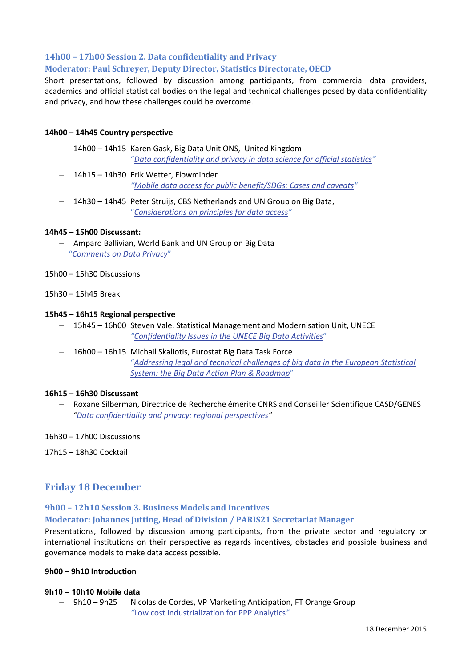# **14h00 – 17h00 Session 2. Data confidentiality and Privacy**

# **Moderator: Paul Schreyer, Deputy Director, Statistics Directorate, OECD**

Short presentations, followed by discussion among participants, from commercial data providers, academics and official statistical bodies on the legal and technical challenges posed by data confidentiality and privacy, and how these challenges could be overcome.

#### **14h00 – 14h45 Country perspective**

- − 14h00 14h15 Karen Gask, Big Data Unit ONS, United Kingdom "*[Data confidentiality and privacy in data science for official statistics"](http://www.oecd.org/std/1-Karen%20Gask.pdf)*
- − 14h15 14h30 Erik Wetter, Flowminder *["Mobile data access for public benefit/SDGs: Cases and caveats"](http://www.oecd.org/std/Flowminder-OECD-2015-Dec.pdf)*
- − 14h30 14h45 Peter Struijs, CBS Netherlands and UN Group on Big Data, "*Considerations [on principles for data access"](http://www.oecd.org/std/3-%20Peter%20Struijs.pdf)*

#### **14h45 – 15h00 Discussant:**

- − Amparo Ballivian, World Bank and UN Group on Big Data "*[Comments on Data Privacy](http://www.oecd.org/std/Amparo%20Ballivian.pdf)*"
- 15h00 15h30 Discussions
- 15h30 15h45 Break

#### **15h45 – 16h15 Regional perspective**

- − 15h45 16h00 Steven Vale, Statistical Management and Modernisation Unit, UNECE *["Confidentiality Issues in the UNECE Big Data Activities](http://www.oecd.org/std/1-Steven%20Vale1.pdf)*"
- − 16h00 16h15 Michail Skaliotis, Eurostat Big Data Task Force "*[Addressing legal and technical challenges of big data in the European Statistical](http://www.oecd.org/std/2-Skaliotis.pdf)  [System: the Big Data Action Plan & Roadmap](http://www.oecd.org/std/2-Skaliotis.pdf)*"

#### **16h15 – 16h30 Discussant**

- − Roxane Silberman, Directrice de Recherche émérite CNRS and Conseiller Scientifique CASD/GENES *["Data confidentiality and privacy: regional perspectives"](http://www.oecd.org/std/Roxane%20Silberman.pdf)*
- 16h30 17h00 Discussions
- 17h15 18h30 Cocktail

# **Friday 18 December**

# **9h00 – 12h10 Session 3. Business Models and Incentives**

# **Moderator: Johannes Jutting, Head of Division / PARIS21 Secretariat Manager**

Presentations, followed by discussion among participants, from the private sector and regulatory or international institutions on their perspective as regards incentives, obstacles and possible business and governance models to make data access possible.

#### **9h00 – 9h10 Introduction**

#### **9h10 – 10h10 Mobile data**

− 9h10 – 9h25 Nicolas de Cordes, VP Marketing Anticipation, FT Orange Group *"*[Low cost industrialization for PPP Analytics](http://www.oecd.org/std/1-Nicolas%20de%20Cordes.pdf)*"*